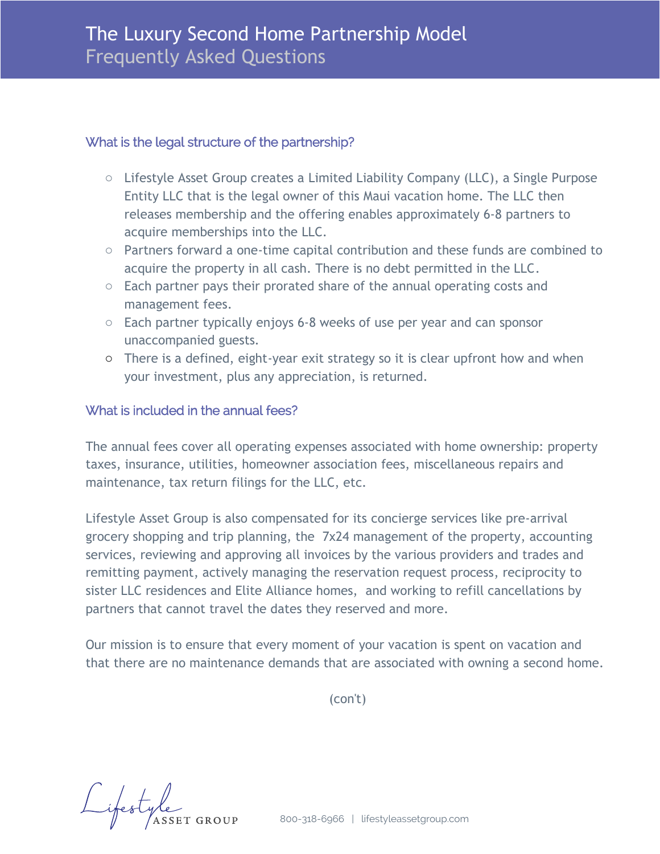### What is the legal structure of the partnership?

- o Lifestyle Asset Group creates a Limited Liability Company (LLC), a Single Purpose Entity LLC that is the legal owner of this Maui vacation home. The LLC then releases membership and the offering enables approximately 6-8 partners to acquire memberships into the LLC.
- o Partners forward a one-time capital contribution and these funds are combined to acquire the property in all cash. There is no debt permitted in the LLC.
- o Each partner pays their prorated share of the annual operating costs and management fees.
- o Each partner typically enjoys 6-8 weeks of use per year and can sponsor unaccompanied guests.
- o There is a defined, eight-year exit strategy so it is clear upfront how and when your investment, plus any appreciation, is returned.

### What is included in the annual fees?

The annual fees cover all operating expenses associated with home ownership: property taxes, insurance, utilities, homeowner association fees, miscellaneous repairs and maintenance, tax return filings for the LLC, etc.

Lifestyle Asset Group is also compensated for its concierge services like pre-arrival grocery shopping and trip planning, the 7x24 management of the property, accounting services, reviewing and approving all invoices by the various providers and trades and remitting payment, actively managing the reservation request process, reciprocity to sister LLC residences and Elite Alliance homes, and working to refill cancellations by partners that cannot travel the dates they reserved and more.

Our mission is to ensure that every moment of your vacation is spent on vacation and that there are no maintenance demands that are associated with owning a second home.

(con't)

Lifestyle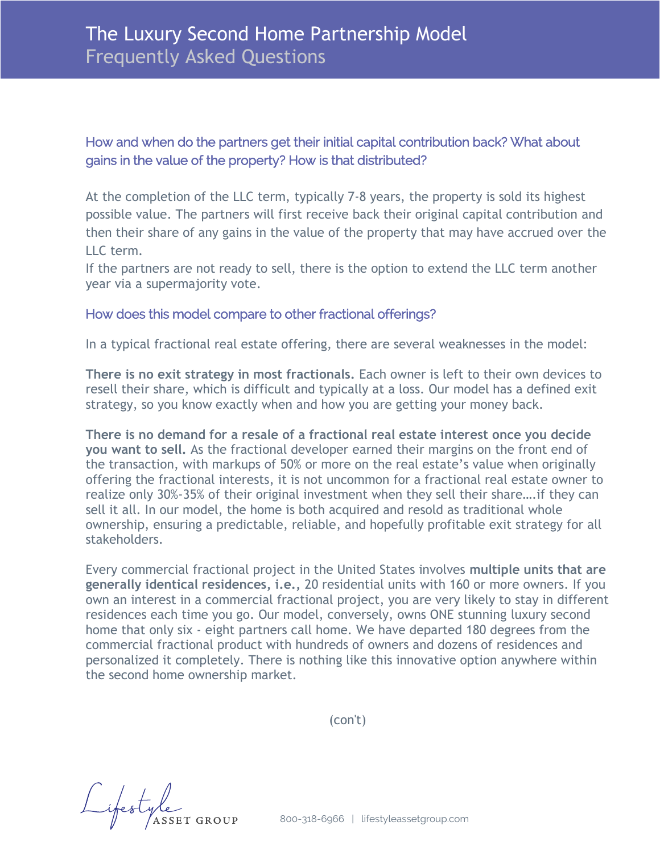# How and when do the partners get their initial capital contribution back? What about gains in the value of the property? How is that distributed?

 At the completion of the LLC term, typically 7-8 years, the property is sold its highest possible value. The partners will first receive back their original capital contribution and then their share of any gains in the value of the property that may have accrued over the  $ILL$  form, the models of  $T$  and  $T$  are several weak nestate of  $T$  are several weak neare several weak neare several weak neare several weak neare several weak neare several weak neare several weak neare several weak ne LLC term.

**There** is no experimation typically voice. If the partners are not ready to sell, there is the option to extend the LLC term another year via a supermajority vote.

## How does this model compare to other fractional offerings?

In a typical fractional real estate offering, there are several weaknesses in the model:

**There is no demand for a resale of a fractional real estate interest once you decide**  ricte is no exit strategy in most mactionals: Each owner is term of their own devices to<br>resell their share, which is difficult and typically at a loss. Our model has a defined exit strategy, so you know exactly when and how you are getting your money back. **There is no exit strategy in most fractionals.** Each owner is left to their own devices to

There is no demand for a resale of a fractional real estate interest once you decide you want to sell. As the fractional developer earned their margins on the front end of and resolution, which has kept of 50% of more on the real estate 3 value when originally offering the fractional interests, it is not uncommon for a fractional real estate owner to realize only 30%-35% of their original investment when they sell their share....if they can ownership, ensuring a predictable, reliable, and hopefully profitable exit strategy for all are generally identical residences **with a typical fractional project of typical fractional project of the state of the state over 20 minutes of the state over 20 minutes over 20 minutes over 20 minutes over 20 minutes ove** the transaction, with markups of 50% or more on the real estate's value when originally sell it all. In our model, the home is both acquired and resold as traditional whole stakeholders.

Every commercial fractional project in the United States involves **multiple units that are** generally identical residences, i.e., 20 residential units with 160 or more owners. If you own an interest in a commercial fractional project, you are very likely to stay in different residences each time you go. Our model, conversely, owns ONE stunning luxury second home that only six - eight partners call home. We have departed 180 degrees from the nothing like this innovative option anywhere within the real estate ownership market. personalized it completely. There is nothing like this innovative option anywhere within commercial fractional product with hundreds of owners and dozens of residences and the second home ownership market.

(con't)

Lifestyle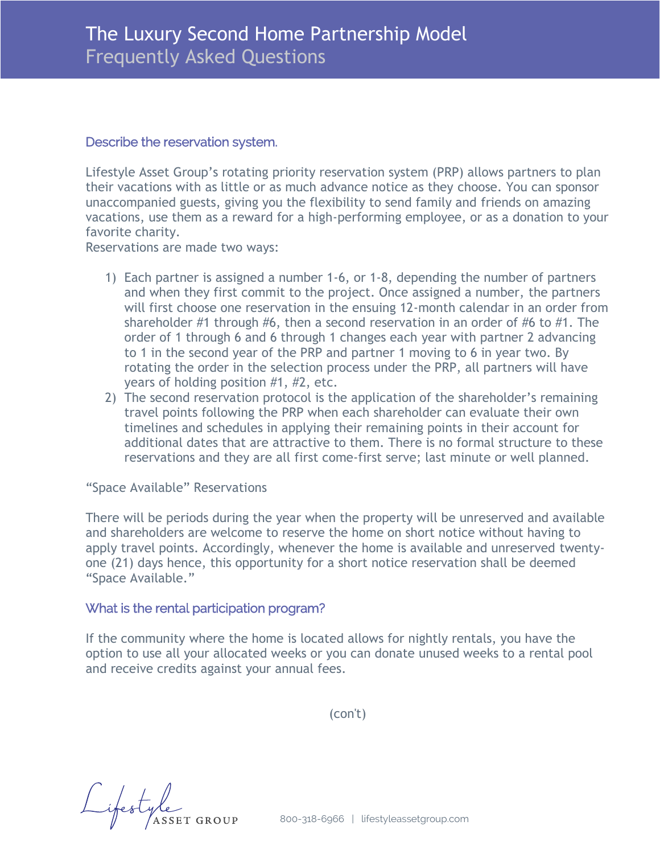#### If the partners are not ready to sell, the option to the option to extend the option to extend the LLC term and  $\hat{f}$ Describe the reservation system.

Lifestyle Asset Group's rotating priority reservation system (PRP) allows partners to plan unaccompanied guests, giving you the flexibility to send family and friends on amazing vacations, use them as a reward for a high-performing employee, or as a donation to your favorite charity. their vacations with as little or as much advance notice as they choose. You can sponsor

Reservations are made two ways:

- 1) Each partner is assigned a number 1-6, or 1-8, depending the number of partners and when they first commit to the project. Once assigned a number, the partners will first choose one reservation in the ensuing 12-month calendar in an order from order of 1 through 6 and 6 through 1 changes each year with partner 2 advancing to 1 in the second year of the PRP and partner 1 moving to 6 in year two. By rotating the order in the selection process under the PRP, all partners will have years of holding position  $#1, #2$ , etc. shareholder #1 through #6, then a second reservation in an order of #6 to #1. The
- 2) The second reservation protocol is the application of the shareholder's remaining travel points following the PRP when each shareholder can evaluate their own timelines and schedules in applying their remaining points in their account for additional dates that are attractive to them. There is no formal structure to these Every commercial fractional project in the United States involves **multiple units that**  reservations and they are all first come-first serve; last minute or well planned.

#### **are generally identical residences** with a typical fractional project offering over 20 "Space Available" Reservations residences with 160 or more owners. In fact, if you own an interest in a commercial

There will be periods during the year when the property will be unreserved and available and shareholders are welcome to reserve the home on short notice without having to apply travel points. Accordingly, whenever the home is available and unreserved twentyone (21) days hence, this opportunity for a short notice reservation shall be deemed "Space Available." This innovative option and the real estate of the real estate of the real estate of the real estate of the real estate of the real estate of the real estate of the real estate of the real estate of the r

#### What is the rental participation program?

If the community where the home is located allows for nightly rentals, you have the option to use all your allocated weeks or you can donate unused weeks to a rental pool **Lifestyle Asset Group's rotating priority reservation system (PRP) allows partners to**  and receive credits against your annual fees. **plan the complete or as well as the second vacations with a second contract and** 

**send family and friends on amazing vacations, use them as a reward for a highperforming employee, or as a donation to your favorite charity.**  (con't)

Lifestyle